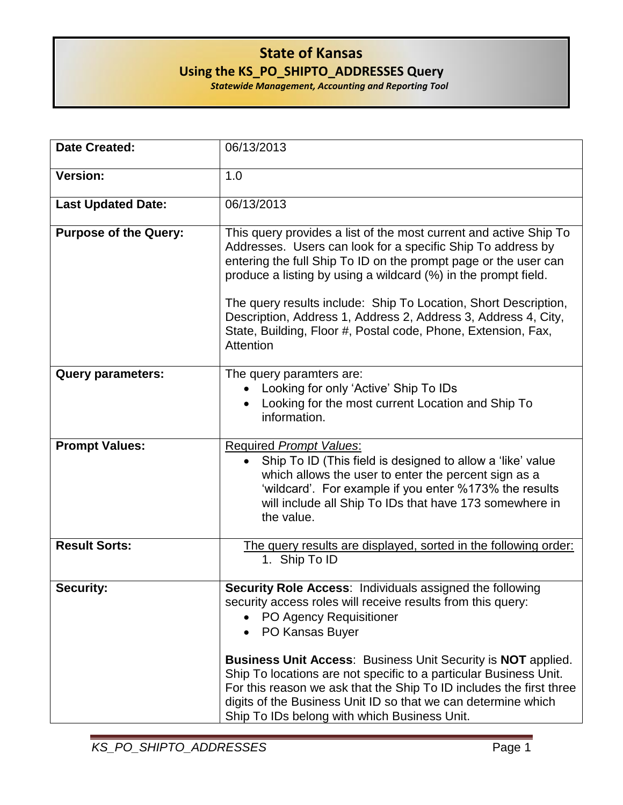## **State of Kansas Using the KS\_PO\_SHIPTO\_ADDRESSES Query**

*Statewide Management, Accounting and Reporting Tool*

| <b>Date Created:</b>         | 06/13/2013                                                                                                                                                                                                                                                                                                                                                                                                                                                                                                         |
|------------------------------|--------------------------------------------------------------------------------------------------------------------------------------------------------------------------------------------------------------------------------------------------------------------------------------------------------------------------------------------------------------------------------------------------------------------------------------------------------------------------------------------------------------------|
| <b>Version:</b>              | 1.0                                                                                                                                                                                                                                                                                                                                                                                                                                                                                                                |
| <b>Last Updated Date:</b>    | 06/13/2013                                                                                                                                                                                                                                                                                                                                                                                                                                                                                                         |
| <b>Purpose of the Query:</b> | This query provides a list of the most current and active Ship To<br>Addresses. Users can look for a specific Ship To address by<br>entering the full Ship To ID on the prompt page or the user can<br>produce a listing by using a wildcard (%) in the prompt field.<br>The query results include: Ship To Location, Short Description,<br>Description, Address 1, Address 2, Address 3, Address 4, City,<br>State, Building, Floor #, Postal code, Phone, Extension, Fax,<br>Attention                           |
| <b>Query parameters:</b>     | The query paramters are:<br>Looking for only 'Active' Ship To IDs<br>Looking for the most current Location and Ship To<br>information.                                                                                                                                                                                                                                                                                                                                                                             |
| <b>Prompt Values:</b>        | <b>Required Prompt Values:</b><br>Ship To ID (This field is designed to allow a 'like' value<br>$\bullet$<br>which allows the user to enter the percent sign as a<br>'wildcard'. For example if you enter %173% the results<br>will include all Ship To IDs that have 173 somewhere in<br>the value.                                                                                                                                                                                                               |
| <b>Result Sorts:</b>         | The query results are displayed, sorted in the following order:<br>1. Ship To ID                                                                                                                                                                                                                                                                                                                                                                                                                                   |
| <b>Security:</b>             | <b>Security Role Access: Individuals assigned the following</b><br>security access roles will receive results from this query:<br>• PO Agency Requisitioner<br>PO Kansas Buyer<br><b>Business Unit Access: Business Unit Security is NOT applied.</b><br>Ship To locations are not specific to a particular Business Unit.<br>For this reason we ask that the Ship To ID includes the first three<br>digits of the Business Unit ID so that we can determine which<br>Ship To IDs belong with which Business Unit. |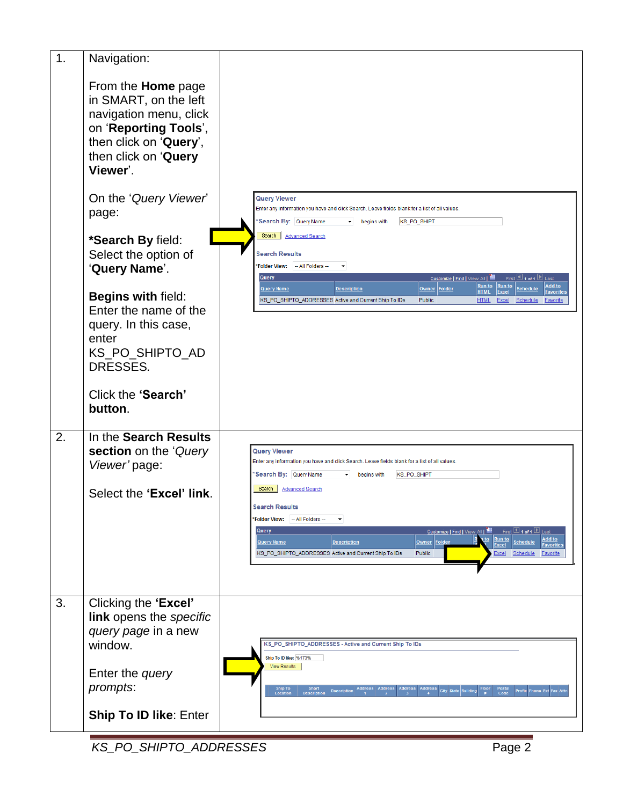| 1. | Navigation:                                                                                                                                                         |                                                                                                                                                                                                                                                                                                                                                                |
|----|---------------------------------------------------------------------------------------------------------------------------------------------------------------------|----------------------------------------------------------------------------------------------------------------------------------------------------------------------------------------------------------------------------------------------------------------------------------------------------------------------------------------------------------------|
|    | From the <b>Home</b> page<br>in SMART, on the left<br>navigation menu, click<br>on 'Reporting Tools',<br>then click on 'Query',<br>then click on 'Query<br>Viewer'. |                                                                                                                                                                                                                                                                                                                                                                |
|    | On the 'Query Viewer'<br>page:                                                                                                                                      | Query Viewer<br>Enter any information you have and click Search. Leave fields blank for a list of all values.<br>Search By: Query Name<br>$\blacktriangleright$ begins with<br>KS_PO_SHIPT                                                                                                                                                                     |
|    | *Search By field:<br>Select the option of<br>'Query Name'.                                                                                                          | Search Advanced Search<br><b>Search Results</b><br>*Folder View: - All Folders --<br>Query<br>First $\boxplus$ 1 of 1 $\boxplus$ Last<br>Customize   Find   View All   III<br>Run to<br><b>Run to</b><br>Add to                                                                                                                                                |
|    | Begins with field:<br>Enter the name of the<br>query. In this case,<br>enter<br>KS_PO_SHIPTO_AD<br>DRESSES.                                                         | Owner Folder<br><b>Query Name</b><br><b>Description</b><br><b>Schedule</b><br><b>Favorites</b><br><b>HTML</b><br><b>Excel</b><br>KS_PO_SHIPTO_ADDRESSES Active and Current Ship To IDs<br><b>Public</b><br>Excel<br><b>HTML</b><br><b>Schedule</b><br><b>Favorite</b>                                                                                          |
|    | Click the 'Search'<br>button.                                                                                                                                       |                                                                                                                                                                                                                                                                                                                                                                |
| 2. | In the Search Results<br>section on the 'Query<br>Viewer' page:                                                                                                     | <b>Query Viewer</b><br>Enter any information you have and click Search. Leave fields blank for a list of all values.<br>'Search By: Query Name<br>KS_PO_SHIPT<br>begins with<br>▾                                                                                                                                                                              |
|    | Select the 'Excel' link.                                                                                                                                            | Search  <br><b>Advanced Search</b><br><b>Search Results</b>                                                                                                                                                                                                                                                                                                    |
|    |                                                                                                                                                                     | *Folder View: - All Folders --<br>Query<br>Customize   Find   View All   THE<br>First 1 1 of 1 1 Last<br>Run to<br>Add to<br><u>n to</u><br>Owner Folder<br>Schedule<br>Query Name<br><b>Description</b><br><b>Excel</b><br><b>Favorites</b><br>Public<br>KS_PO_SHIPTO_ADDRESSES Active and Current Ship To IDs<br>Schedule<br><b>Favorite</b><br><b>Excel</b> |
| 3. | Clicking the 'Excel'<br>link opens the specific<br>query page in a new<br>window.                                                                                   | KS_PO_SHIPTO_ADDRESSES - Active and Current Ship To IDs                                                                                                                                                                                                                                                                                                        |
|    | Enter the query<br>prompts:                                                                                                                                         | Ship To ID like: %173%<br><b>View Results</b><br>Ship To<br>Short<br>Address   Address  <br>Address Address City State Building<br>Postal<br>Code<br>Prefix Phone Ext Fax Attn<br><b>Description</b><br>Location<br><b>Descripti</b>                                                                                                                           |
|    | <b>Ship To ID like: Enter</b>                                                                                                                                       |                                                                                                                                                                                                                                                                                                                                                                |